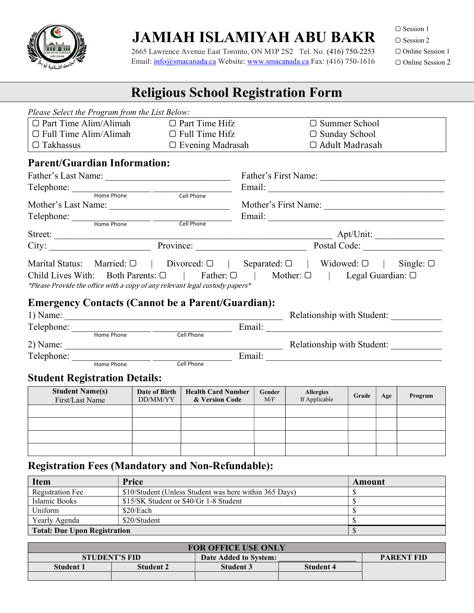

## JAMIAH ISLAMIYAH ABU BAKR

 2665 Lawrence Avenue East Toronto, ON M1P 2S2 Tel. No. (416) 750-2253 Email: info@smacanada.ca Website: www.smacanada.ca Fax: (416) 750-1616 □ Session 1

▢ Session 2

▢ Online Session 1 ▢ Online Session 2

### Religious School Registration Form

|                  | Please Select the Program from the List Below: |                                                                                                                                                                                                                                                                                                                                                                                                             |                                                                                                                                                                                            |
|------------------|------------------------------------------------|-------------------------------------------------------------------------------------------------------------------------------------------------------------------------------------------------------------------------------------------------------------------------------------------------------------------------------------------------------------------------------------------------------------|--------------------------------------------------------------------------------------------------------------------------------------------------------------------------------------------|
|                  |                                                | $\Box$ Part Time Alim/Alimah $\Box$ Part Time Hifz                                                                                                                                                                                                                                                                                                                                                          | $\Box$ Summer School                                                                                                                                                                       |
|                  |                                                | $\Box$ Full Time Alim/Alimah $\Box$ Full Time Hifz                                                                                                                                                                                                                                                                                                                                                          | $\Box$ Sunday School                                                                                                                                                                       |
| $\Box$ Takhassus |                                                | D Evening Madrasah                                                                                                                                                                                                                                                                                                                                                                                          | □ Adult Madrasah                                                                                                                                                                           |
|                  | <b>Parent/Guardian Information:</b>            |                                                                                                                                                                                                                                                                                                                                                                                                             |                                                                                                                                                                                            |
|                  |                                                |                                                                                                                                                                                                                                                                                                                                                                                                             | Father's First Name:                                                                                                                                                                       |
|                  |                                                |                                                                                                                                                                                                                                                                                                                                                                                                             |                                                                                                                                                                                            |
|                  |                                                | Telephone: Home Phone Cell Phone                                                                                                                                                                                                                                                                                                                                                                            |                                                                                                                                                                                            |
|                  |                                                |                                                                                                                                                                                                                                                                                                                                                                                                             |                                                                                                                                                                                            |
|                  |                                                | Telephone: Home Phone Cell Phone                                                                                                                                                                                                                                                                                                                                                                            |                                                                                                                                                                                            |
|                  |                                                |                                                                                                                                                                                                                                                                                                                                                                                                             |                                                                                                                                                                                            |
|                  |                                                |                                                                                                                                                                                                                                                                                                                                                                                                             |                                                                                                                                                                                            |
|                  |                                                |                                                                                                                                                                                                                                                                                                                                                                                                             | City: <u>New Service</u> Province: Province: Postal Code: 2008.                                                                                                                            |
|                  |                                                | *Please Provide the office with a copy of any relevant legal custody papers*                                                                                                                                                                                                                                                                                                                                | Marital Status: Married: $\Box$   Divorced: $\Box$   Separated: $\Box$   Widowed: $\Box$   Single: $\Box$<br>Child Lives With: Both Parents: □   Father: □   Mother: □   Legal Guardian: □ |
|                  |                                                | <b>Emergency Contacts (Cannot be a Parent/Guardian):</b>                                                                                                                                                                                                                                                                                                                                                    |                                                                                                                                                                                            |
|                  |                                                | 1) Name: $\frac{1}{\sqrt{1-\frac{1}{2}}\sqrt{1-\frac{1}{2}}\sqrt{1-\frac{1}{2}}\sqrt{1-\frac{1}{2}}\sqrt{1-\frac{1}{2}}\sqrt{1-\frac{1}{2}}\sqrt{1-\frac{1}{2}}\sqrt{1-\frac{1}{2}}\sqrt{1-\frac{1}{2}}\sqrt{1-\frac{1}{2}}\sqrt{1-\frac{1}{2}}\sqrt{1-\frac{1}{2}}\sqrt{1-\frac{1}{2}}\sqrt{1-\frac{1}{2}}\sqrt{1-\frac{1}{2}}\sqrt{1-\frac{1}{2}}\sqrt{1-\frac{1}{2}}\sqrt{1-\frac{1}{2}}\sqrt{1-\frac{1$ | Relationship with Student:                                                                                                                                                                 |
|                  |                                                |                                                                                                                                                                                                                                                                                                                                                                                                             |                                                                                                                                                                                            |
|                  |                                                |                                                                                                                                                                                                                                                                                                                                                                                                             |                                                                                                                                                                                            |
|                  |                                                |                                                                                                                                                                                                                                                                                                                                                                                                             |                                                                                                                                                                                            |
|                  |                                                |                                                                                                                                                                                                                                                                                                                                                                                                             |                                                                                                                                                                                            |
|                  |                                                |                                                                                                                                                                                                                                                                                                                                                                                                             |                                                                                                                                                                                            |

#### Student Registration Details:

| <b>Student Name(s)</b><br>First/Last Name | Date of Birth<br>DD/MM/YY | <b>Health Card Number</b><br>& Version Code | Gender<br>M/F | <b>Allergies</b><br>If Applicable | Grade | Age | Program       |
|-------------------------------------------|---------------------------|---------------------------------------------|---------------|-----------------------------------|-------|-----|---------------|
|                                           |                           |                                             |               |                                   |       |     | Sunday School |
|                                           |                           |                                             |               |                                   |       |     |               |
|                                           |                           |                                             |               |                                   |       |     |               |
|                                           |                           |                                             |               |                                   |       |     |               |

### Registration Fees (Mandatory and Non-Refundable):

| <b>Item</b>                         | Price                                                  | Amount |
|-------------------------------------|--------------------------------------------------------|--------|
| Registration Fee                    | \$10/Student (Unless Student was here within 365 Days) |        |
| Islamic Books                       | \$15/SK Student or \$40/Gr 1-8 Student                 |        |
| Uniform                             | \$20/Each                                              |        |
| Yearly Agenda                       | \$20/Student                                           |        |
| <b>Total: Due Upon Registration</b> |                                                        |        |

| <b>FOR OFFICE USE ONLY</b> |                      |                       |                   |  |  |  |  |
|----------------------------|----------------------|-----------------------|-------------------|--|--|--|--|
|                            | <b>STUDENT'S FID</b> | Date Added to System: | <b>PARENT FID</b> |  |  |  |  |
| <b>Student 1</b>           | <b>Student 2</b>     | <b>Student 3</b>      | <b>Student 4</b>  |  |  |  |  |
|                            |                      |                       |                   |  |  |  |  |